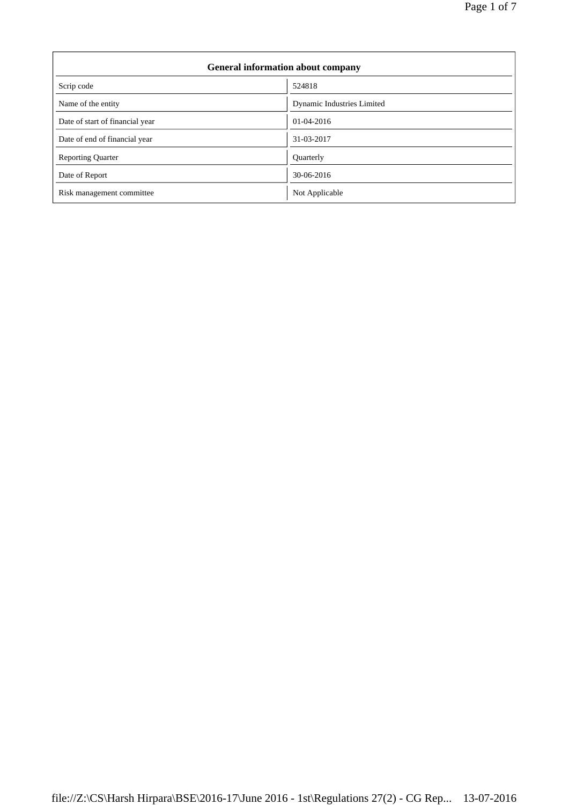| <b>General information about company</b> |                            |  |
|------------------------------------------|----------------------------|--|
| Scrip code                               | 524818                     |  |
| Name of the entity                       | Dynamic Industries Limited |  |
| Date of start of financial year          | 01-04-2016                 |  |
| Date of end of financial year            | 31-03-2017                 |  |
| <b>Reporting Quarter</b>                 | Quarterly                  |  |
| Date of Report                           | 30-06-2016                 |  |
| Risk management committee                | Not Applicable             |  |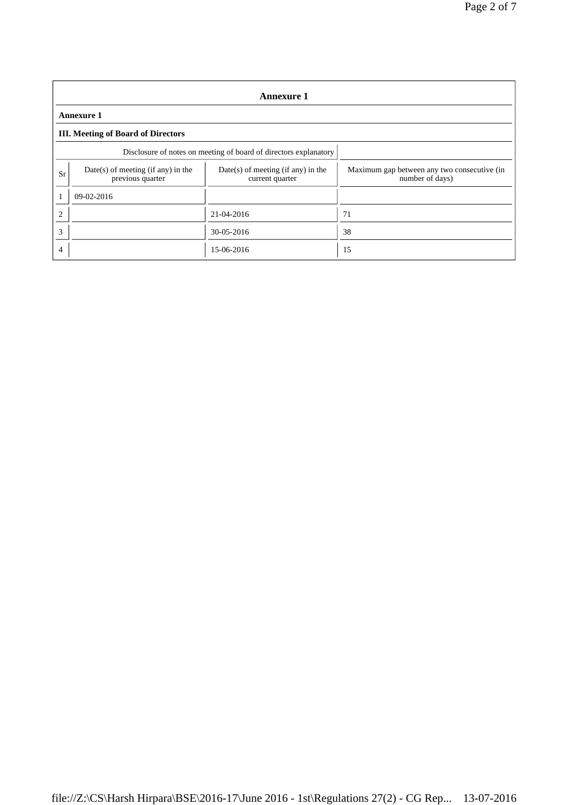| <b>Annexure 1</b>                                                |                                                          |                                                         |                                                                |
|------------------------------------------------------------------|----------------------------------------------------------|---------------------------------------------------------|----------------------------------------------------------------|
| <b>Annexure 1</b>                                                |                                                          |                                                         |                                                                |
| <b>III.</b> Meeting of Board of Directors                        |                                                          |                                                         |                                                                |
| Disclosure of notes on meeting of board of directors explanatory |                                                          |                                                         |                                                                |
| Sr                                                               | $Date(s)$ of meeting (if any) in the<br>previous quarter | $Date(s)$ of meeting (if any) in the<br>current quarter | Maximum gap between any two consecutive (in<br>number of days) |
|                                                                  | 09-02-2016                                               |                                                         |                                                                |
| 2                                                                |                                                          | 21-04-2016                                              | 71                                                             |
| 3                                                                |                                                          | 30-05-2016                                              | 38                                                             |
| 4                                                                |                                                          | 15-06-2016                                              | 15                                                             |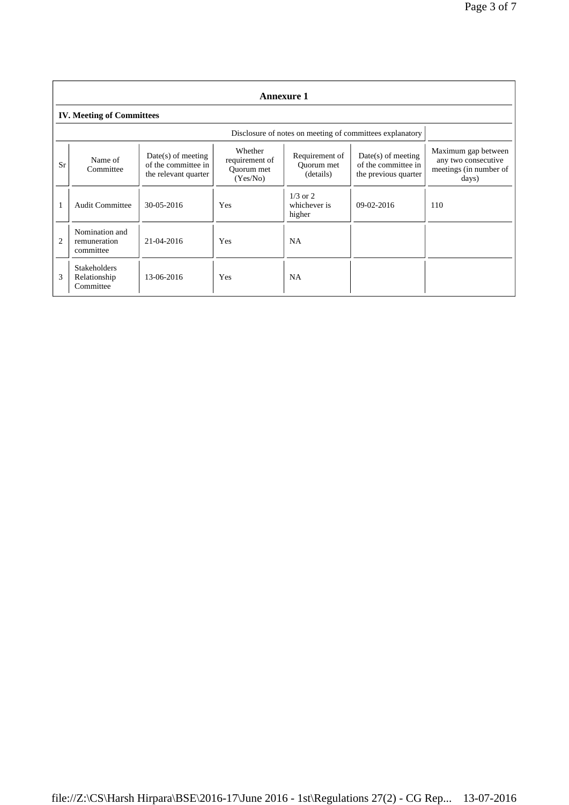| <b>Annexure 1</b>                                        |                                                  |                                                                     |                                                     |                                           |                                                                     |                                                                               |
|----------------------------------------------------------|--------------------------------------------------|---------------------------------------------------------------------|-----------------------------------------------------|-------------------------------------------|---------------------------------------------------------------------|-------------------------------------------------------------------------------|
|                                                          | <b>IV. Meeting of Committees</b>                 |                                                                     |                                                     |                                           |                                                                     |                                                                               |
| Disclosure of notes on meeting of committees explanatory |                                                  |                                                                     |                                                     |                                           |                                                                     |                                                                               |
| Sr                                                       | Name of<br>Committee                             | $Date(s)$ of meeting<br>of the committee in<br>the relevant quarter | Whether<br>requirement of<br>Ouorum met<br>(Yes/No) | Requirement of<br>Ouorum met<br>(details) | $Date(s)$ of meeting<br>of the committee in<br>the previous quarter | Maximum gap between<br>any two consecutive<br>meetings (in number of<br>days) |
| 1                                                        | Audit Committee                                  | 30-05-2016                                                          | <b>Yes</b>                                          | $1/3$ or $2$<br>whichever is<br>higher    | 09-02-2016                                                          | 110                                                                           |
| $\overline{2}$                                           | Nomination and<br>remuneration<br>committee      | 21-04-2016                                                          | Yes                                                 | <b>NA</b>                                 |                                                                     |                                                                               |
| 3                                                        | <b>Stakeholders</b><br>Relationship<br>Committee | 13-06-2016                                                          | Yes                                                 | NA                                        |                                                                     |                                                                               |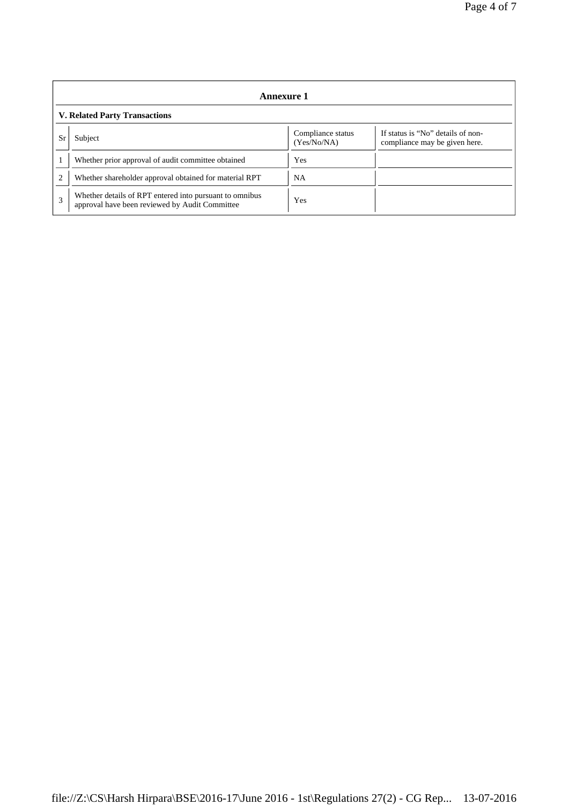| Annexure 1                           |                                                                                                           |                                  |                                                                    |
|--------------------------------------|-----------------------------------------------------------------------------------------------------------|----------------------------------|--------------------------------------------------------------------|
| <b>V. Related Party Transactions</b> |                                                                                                           |                                  |                                                                    |
| Sr                                   | Subject                                                                                                   | Compliance status<br>(Yes/No/NA) | If status is "No" details of non-<br>compliance may be given here. |
|                                      | Whether prior approval of audit committee obtained                                                        | Yes                              |                                                                    |
| $\overline{c}$                       | Whether shareholder approval obtained for material RPT                                                    | <b>NA</b>                        |                                                                    |
| 3                                    | Whether details of RPT entered into pursuant to omnibus<br>approval have been reviewed by Audit Committee | Yes                              |                                                                    |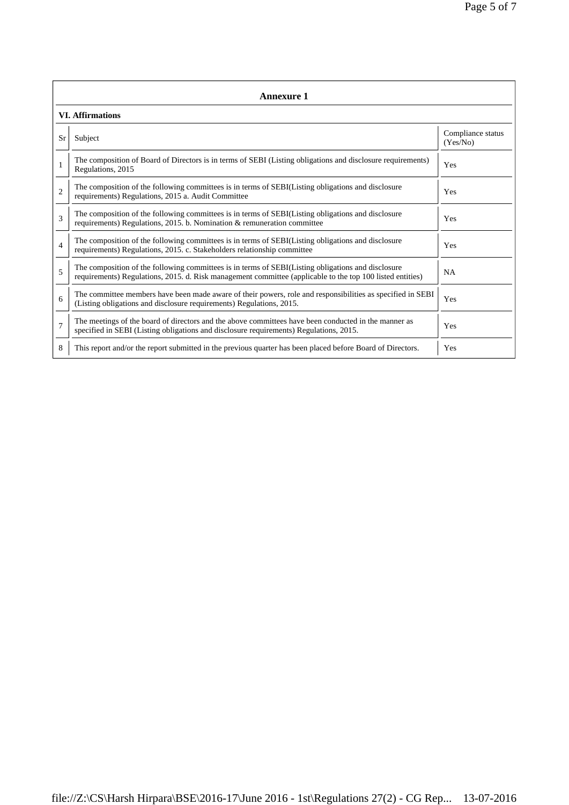| Annexure 1              |                                                                                                                                                                                                                 |                               |  |
|-------------------------|-----------------------------------------------------------------------------------------------------------------------------------------------------------------------------------------------------------------|-------------------------------|--|
| <b>VI.</b> Affirmations |                                                                                                                                                                                                                 |                               |  |
| Sr                      | Subject                                                                                                                                                                                                         | Compliance status<br>(Yes/No) |  |
| 1                       | The composition of Board of Directors is in terms of SEBI (Listing obligations and disclosure requirements)<br>Regulations, 2015                                                                                | Yes                           |  |
| $\overline{c}$          | The composition of the following committees is in terms of SEBI(Listing obligations and disclosure<br>requirements) Regulations, 2015 a. Audit Committee                                                        | Yes                           |  |
| 3                       | The composition of the following committees is in terms of SEBI(Listing obligations and disclosure<br>requirements) Regulations, 2015. b. Nomination & remuneration committee                                   | Yes                           |  |
| 4                       | The composition of the following committees is in terms of SEBI(Listing obligations and disclosure<br>requirements) Regulations, 2015. c. Stakeholders relationship committee                                   | Yes                           |  |
| 5                       | The composition of the following committees is in terms of SEBI(Listing obligations and disclosure<br>requirements) Regulations, 2015. d. Risk management committee (applicable to the top 100 listed entities) | <b>NA</b>                     |  |
| 6                       | The committee members have been made aware of their powers, role and responsibilities as specified in SEBI<br>(Listing obligations and disclosure requirements) Regulations, 2015.                              | Yes                           |  |
| 7                       | The meetings of the board of directors and the above committees have been conducted in the manner as<br>specified in SEBI (Listing obligations and disclosure requirements) Regulations, 2015.                  | Yes                           |  |
| 8                       | This report and/or the report submitted in the previous quarter has been placed before Board of Directors.                                                                                                      | Yes                           |  |